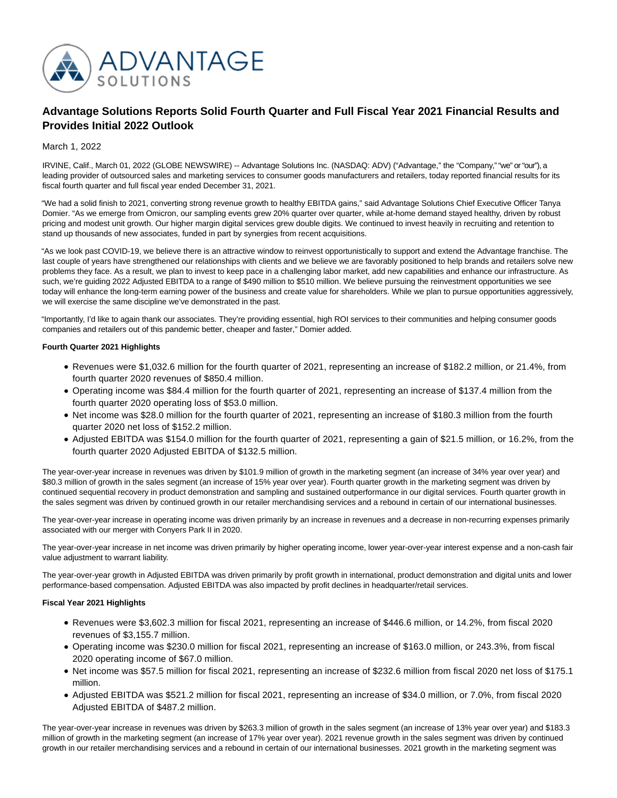

# **Advantage Solutions Reports Solid Fourth Quarter and Full Fiscal Year 2021 Financial Results and Provides Initial 2022 Outlook**

March 1, 2022

IRVINE, Calif., March 01, 2022 (GLOBE NEWSWIRE) -- Advantage Solutions Inc. (NASDAQ: ADV) ("Advantage," the "Company," "we" or "our"), a leading provider of outsourced sales and marketing services to consumer goods manufacturers and retailers, today reported financial results for its fiscal fourth quarter and full fiscal year ended December 31, 2021.

"We had a solid finish to 2021, converting strong revenue growth to healthy EBITDA gains," said Advantage Solutions Chief Executive Officer Tanya Domier. "As we emerge from Omicron, our sampling events grew 20% quarter over quarter, while at-home demand stayed healthy, driven by robust pricing and modest unit growth. Our higher margin digital services grew double digits. We continued to invest heavily in recruiting and retention to stand up thousands of new associates, funded in part by synergies from recent acquisitions.

"As we look past COVID-19, we believe there is an attractive window to reinvest opportunistically to support and extend the Advantage franchise. The last couple of years have strengthened our relationships with clients and we believe we are favorably positioned to help brands and retailers solve new problems they face. As a result, we plan to invest to keep pace in a challenging labor market, add new capabilities and enhance our infrastructure. As such, we're guiding 2022 Adjusted EBITDA to a range of \$490 million to \$510 million. We believe pursuing the reinvestment opportunities we see today will enhance the long-term earning power of the business and create value for shareholders. While we plan to pursue opportunities aggressively, we will exercise the same discipline we've demonstrated in the past.

"Importantly, I'd like to again thank our associates. They're providing essential, high ROI services to their communities and helping consumer goods companies and retailers out of this pandemic better, cheaper and faster," Domier added.

# **Fourth Quarter 2021 Highlights**

- Revenues were \$1,032.6 million for the fourth quarter of 2021, representing an increase of \$182.2 million, or 21.4%, from fourth quarter 2020 revenues of \$850.4 million.
- Operating income was \$84.4 million for the fourth quarter of 2021, representing an increase of \$137.4 million from the fourth quarter 2020 operating loss of \$53.0 million.
- Net income was \$28.0 million for the fourth quarter of 2021, representing an increase of \$180.3 million from the fourth quarter 2020 net loss of \$152.2 million.
- Adjusted EBITDA was \$154.0 million for the fourth quarter of 2021, representing a gain of \$21.5 million, or 16.2%, from the fourth quarter 2020 Adjusted EBITDA of \$132.5 million.

The year-over-year increase in revenues was driven by \$101.9 million of growth in the marketing segment (an increase of 34% year over year) and \$80.3 million of growth in the sales segment (an increase of 15% year over year). Fourth quarter growth in the marketing segment was driven by continued sequential recovery in product demonstration and sampling and sustained outperformance in our digital services. Fourth quarter growth in the sales segment was driven by continued growth in our retailer merchandising services and a rebound in certain of our international businesses.

The year-over-year increase in operating income was driven primarily by an increase in revenues and a decrease in non-recurring expenses primarily associated with our merger with Conyers Park II in 2020.

The year-over-year increase in net income was driven primarily by higher operating income, lower year-over-year interest expense and a non-cash fair value adjustment to warrant liability.

The year-over-year growth in Adjusted EBITDA was driven primarily by profit growth in international, product demonstration and digital units and lower performance-based compensation. Adjusted EBITDA was also impacted by profit declines in headquarter/retail services.

# **Fiscal Year 2021 Highlights**

- Revenues were \$3,602.3 million for fiscal 2021, representing an increase of \$446.6 million, or 14.2%, from fiscal 2020 revenues of \$3,155.7 million.
- Operating income was \$230.0 million for fiscal 2021, representing an increase of \$163.0 million, or 243.3%, from fiscal 2020 operating income of \$67.0 million.
- Net income was \$57.5 million for fiscal 2021, representing an increase of \$232.6 million from fiscal 2020 net loss of \$175.1 million.
- Adjusted EBITDA was \$521.2 million for fiscal 2021, representing an increase of \$34.0 million, or 7.0%, from fiscal 2020 Adjusted EBITDA of \$487.2 million.

The year-over-year increase in revenues was driven by \$263.3 million of growth in the sales segment (an increase of 13% year over year) and \$183.3 million of growth in the marketing segment (an increase of 17% year over year). 2021 revenue growth in the sales segment was driven by continued growth in our retailer merchandising services and a rebound in certain of our international businesses. 2021 growth in the marketing segment was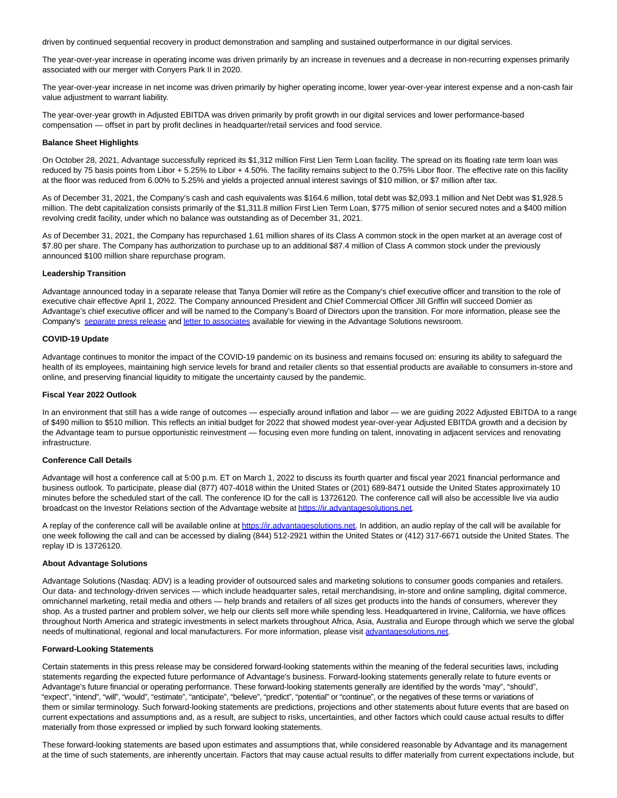driven by continued sequential recovery in product demonstration and sampling and sustained outperformance in our digital services.

The year-over-year increase in operating income was driven primarily by an increase in revenues and a decrease in non-recurring expenses primarily associated with our merger with Conyers Park II in 2020.

The year-over-year increase in net income was driven primarily by higher operating income, lower year-over-year interest expense and a non-cash fair value adjustment to warrant liability.

The year-over-year growth in Adjusted EBITDA was driven primarily by profit growth in our digital services and lower performance-based compensation — offset in part by profit declines in headquarter/retail services and food service.

#### **Balance Sheet Highlights**

On October 28, 2021, Advantage successfully repriced its \$1,312 million First Lien Term Loan facility. The spread on its floating rate term loan was reduced by 75 basis points from Libor + 5.25% to Libor + 4.50%. The facility remains subject to the 0.75% Libor floor. The effective rate on this facility at the floor was reduced from 6.00% to 5.25% and yields a projected annual interest savings of \$10 million, or \$7 million after tax.

As of December 31, 2021, the Company's cash and cash equivalents was \$164.6 million, total debt was \$2,093.1 million and Net Debt was \$1,928.5 million. The debt capitalization consists primarily of the \$1,311.8 million First Lien Term Loan, \$775 million of senior secured notes and a \$400 million revolving credit facility, under which no balance was outstanding as of December 31, 2021.

As of December 31, 2021, the Company has repurchased 1.61 million shares of its Class A common stock in the open market at an average cost of \$7.80 per share. The Company has authorization to purchase up to an additional \$87.4 million of Class A common stock under the previously announced \$100 million share repurchase program.

#### **Leadership Transition**

Advantage announced today in a separate release that Tanya Domier will retire as the Company's chief executive officer and transition to the role of executive chair effective April 1, 2022. The Company announced President and Chief Commercial Officer Jill Griffin will succeed Domier as Advantage's chief executive officer and will be named to the Company's Board of Directors upon the transition. For more information, please see the Company's [separate press release a](https://www.globenewswire.com/Tracker?data=KWYAGyGsLjjokHNptL-NA590tx9IRaIt4DTOgWDb_XtIx5wagMu1e3-jZ3BCAp5nsrj1_md9cwwxzvQLZUqagT1akkWMCZ1wzlQaWsrnDmMxdR6EIUgHcLgjQ54CB0tfRfhgKA34P-Je7OchAnG-1eG0Zj25Mi4rGFK7LEAlordVrG4Fm9NBamV470xuN11lZzup7t6bRZ6XZVjtx5cs-w==)n[d letter to associates a](https://www.globenewswire.com/Tracker?data=V5-8-0n3LSsE6vsqTsd_mhEAg5J697X5nlJm7nMA56MCrJfFUd5O23a2LOQOR7K1StGeSCyH76MSsQMhQ3yjGWZYsvfmBLyEA9T0ktW-cLo0SmQCIHJN-71UISCLOQRuIZcof9uS_y_CKeW7FwgdOYNVRrH90xvoClZIoe7rRx4=)vailable for viewing in the Advantage Solutions newsroom.

#### **COVID-19 Update**

Advantage continues to monitor the impact of the COVID-19 pandemic on its business and remains focused on: ensuring its ability to safeguard the health of its employees, maintaining high service levels for brand and retailer clients so that essential products are available to consumers in-store and online, and preserving financial liquidity to mitigate the uncertainty caused by the pandemic.

# **Fiscal Year 2022 Outlook**

In an environment that still has a wide range of outcomes — especially around inflation and labor — we are guiding 2022 Adjusted EBITDA to a range of \$490 million to \$510 million. This reflects an initial budget for 2022 that showed modest year-over-year Adjusted EBITDA growth and a decision by the Advantage team to pursue opportunistic reinvestment — focusing even more funding on talent, innovating in adjacent services and renovating infrastructure.

# **Conference Call Details**

Advantage will host a conference call at 5:00 p.m. ET on March 1, 2022 to discuss its fourth quarter and fiscal year 2021 financial performance and business outlook. To participate, please dial (877) 407-4018 within the United States or (201) 689-8471 outside the United States approximately 10 minutes before the scheduled start of the call. The conference ID for the call is 13726120. The conference call will also be accessible live via audio broadcast on the Investor Relations section of the Advantage website a[t https://ir.advantagesolutions.net.](https://www.globenewswire.com/Tracker?data=v-0use9RIPOFfETcBotiAo9Jz6a2JnMDErUOxle9XbbTGjxQatzutA0hSirvZ-dmZTRchY3HkEn06gGd2kxk4rYfp0ciZf4Pa-Qz37V34ZJebJiYs3xoof-O7CcAGRy5)

A replay of the conference call will be available online a[t https://ir.advantagesolutions.net.](https://www.globenewswire.com/Tracker?data=v-0use9RIPOFfETcBotiAo9Jz6a2JnMDErUOxle9XbbD_6mEK0Xwcb5iNkZdx5gTINkGp6AVRSB2a3x80BRtXsMQb0_yNkI73tDPYwAhWjPPh3G0u1s4Dnuk7bgJLrgI) In addition, an audio replay of the call will be available for one week following the call and can be accessed by dialing (844) 512-2921 within the United States or (412) 317-6671 outside the United States. The replay ID is 13726120.

# **About Advantage Solutions**

Advantage Solutions (Nasdaq: ADV) is a leading provider of outsourced sales and marketing solutions to consumer goods companies and retailers. Our data- and technology-driven services — which include headquarter sales, retail merchandising, in-store and online sampling, digital commerce, omnichannel marketing, retail media and others — help brands and retailers of all sizes get products into the hands of consumers, wherever they shop. As a trusted partner and problem solver, we help our clients sell more while spending less. Headquartered in Irvine, California, we have offices throughout North America and strategic investments in select markets throughout Africa, Asia, Australia and Europe through which we serve the global needs of multinational, regional and local manufacturers. For more information, please visit [advantagesolutions.net.](https://www.globenewswire.com/Tracker?data=-uVXC00RCT8KfQ3_7Aqo73r7QdPyV-AANegowmjxFpQAVk7-JgBbB-7_GkQGfbPGnaQUnj-pbPiqF57Y-RaKNmcGJx4HHrGsPbvU5SQ6xlg=) 

# **Forward-Looking Statements**

Certain statements in this press release may be considered forward-looking statements within the meaning of the federal securities laws, including statements regarding the expected future performance of Advantage's business. Forward-looking statements generally relate to future events or Advantage's future financial or operating performance. These forward-looking statements generally are identified by the words "may", "should", "expect", "intend", "will", "would", "estimate", "anticipate", "believe", "predict", "potential" or "continue", or the negatives of these terms or variations of them or similar terminology. Such forward-looking statements are predictions, projections and other statements about future events that are based on current expectations and assumptions and, as a result, are subject to risks, uncertainties, and other factors which could cause actual results to differ materially from those expressed or implied by such forward looking statements.

These forward-looking statements are based upon estimates and assumptions that, while considered reasonable by Advantage and its management at the time of such statements, are inherently uncertain. Factors that may cause actual results to differ materially from current expectations include, but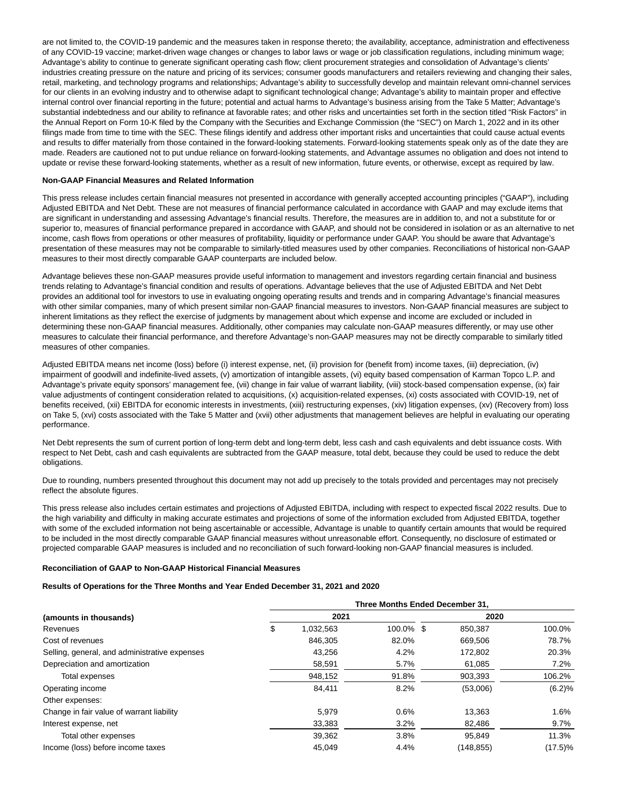are not limited to, the COVID-19 pandemic and the measures taken in response thereto; the availability, acceptance, administration and effectiveness of any COVID-19 vaccine; market-driven wage changes or changes to labor laws or wage or job classification regulations, including minimum wage; Advantage's ability to continue to generate significant operating cash flow; client procurement strategies and consolidation of Advantage's clients' industries creating pressure on the nature and pricing of its services; consumer goods manufacturers and retailers reviewing and changing their sales, retail, marketing, and technology programs and relationships; Advantage's ability to successfully develop and maintain relevant omni-channel services for our clients in an evolving industry and to otherwise adapt to significant technological change; Advantage's ability to maintain proper and effective internal control over financial reporting in the future; potential and actual harms to Advantage's business arising from the Take 5 Matter; Advantage's substantial indebtedness and our ability to refinance at favorable rates; and other risks and uncertainties set forth in the section titled "Risk Factors" in the Annual Report on Form 10-K filed by the Company with the Securities and Exchange Commission (the "SEC") on March 1, 2022 and in its other filings made from time to time with the SEC. These filings identify and address other important risks and uncertainties that could cause actual events and results to differ materially from those contained in the forward-looking statements. Forward-looking statements speak only as of the date they are made. Readers are cautioned not to put undue reliance on forward-looking statements, and Advantage assumes no obligation and does not intend to update or revise these forward-looking statements, whether as a result of new information, future events, or otherwise, except as required by law.

## **Non-GAAP Financial Measures and Related Information**

This press release includes certain financial measures not presented in accordance with generally accepted accounting principles ("GAAP"), including Adjusted EBITDA and Net Debt. These are not measures of financial performance calculated in accordance with GAAP and may exclude items that are significant in understanding and assessing Advantage's financial results. Therefore, the measures are in addition to, and not a substitute for or superior to, measures of financial performance prepared in accordance with GAAP, and should not be considered in isolation or as an alternative to net income, cash flows from operations or other measures of profitability, liquidity or performance under GAAP. You should be aware that Advantage's presentation of these measures may not be comparable to similarly-titled measures used by other companies. Reconciliations of historical non-GAAP measures to their most directly comparable GAAP counterparts are included below.

Advantage believes these non-GAAP measures provide useful information to management and investors regarding certain financial and business trends relating to Advantage's financial condition and results of operations. Advantage believes that the use of Adjusted EBITDA and Net Debt provides an additional tool for investors to use in evaluating ongoing operating results and trends and in comparing Advantage's financial measures with other similar companies, many of which present similar non-GAAP financial measures to investors. Non-GAAP financial measures are subject to inherent limitations as they reflect the exercise of judgments by management about which expense and income are excluded or included in determining these non-GAAP financial measures. Additionally, other companies may calculate non-GAAP measures differently, or may use other measures to calculate their financial performance, and therefore Advantage's non-GAAP measures may not be directly comparable to similarly titled measures of other companies.

Adjusted EBITDA means net income (loss) before (i) interest expense, net, (ii) provision for (benefit from) income taxes, (iii) depreciation, (iv) impairment of goodwill and indefinite-lived assets, (v) amortization of intangible assets, (vi) equity based compensation of Karman Topco L.P. and Advantage's private equity sponsors' management fee, (vii) change in fair value of warrant liability, (viii) stock-based compensation expense, (ix) fair value adjustments of contingent consideration related to acquisitions, (x) acquisition-related expenses, (xi) costs associated with COVID-19, net of benefits received, (xii) EBITDA for economic interests in investments, (xiii) restructuring expenses, (xiv) litigation expenses, (xv) (Recovery from) loss on Take 5, (xvi) costs associated with the Take 5 Matter and (xvii) other adjustments that management believes are helpful in evaluating our operating performance.

Net Debt represents the sum of current portion of long-term debt and long-term debt, less cash and cash equivalents and debt issuance costs. With respect to Net Debt, cash and cash equivalents are subtracted from the GAAP measure, total debt, because they could be used to reduce the debt obligations.

Due to rounding, numbers presented throughout this document may not add up precisely to the totals provided and percentages may not precisely reflect the absolute figures.

This press release also includes certain estimates and projections of Adjusted EBITDA, including with respect to expected fiscal 2022 results. Due to the high variability and difficulty in making accurate estimates and projections of some of the information excluded from Adjusted EBITDA, together with some of the excluded information not being ascertainable or accessible, Advantage is unable to quantify certain amounts that would be required to be included in the most directly comparable GAAP financial measures without unreasonable effort. Consequently, no disclosure of estimated or projected comparable GAAP measures is included and no reconciliation of such forward-looking non-GAAP financial measures is included.

#### **Reconciliation of GAAP to Non-GAAP Historical Financial Measures**

#### **Results of Operations for the Three Months and Year Ended December 31, 2021 and 2020**

|                                               | Three Months Ended December 31, |           |           |      |            |            |
|-----------------------------------------------|---------------------------------|-----------|-----------|------|------------|------------|
| (amounts in thousands)<br>Revenues            | 2021                            |           |           | 2020 |            |            |
|                                               | \$                              | 1,032,563 | 100.0% \$ |      | 850.387    | 100.0%     |
| Cost of revenues                              |                                 | 846.305   | 82.0%     |      | 669.506    | 78.7%      |
| Selling, general, and administrative expenses |                                 | 43,256    | 4.2%      |      | 172,802    | 20.3%      |
| Depreciation and amortization                 |                                 | 58,591    | 5.7%      |      | 61,085     | 7.2%       |
| Total expenses                                |                                 | 948,152   | 91.8%     |      | 903,393    | 106.2%     |
| Operating income                              |                                 | 84,411    | 8.2%      |      | (53,006)   | (6.2)%     |
| Other expenses:                               |                                 |           |           |      |            |            |
| Change in fair value of warrant liability     |                                 | 5.979     | 0.6%      |      | 13.363     | 1.6%       |
| Interest expense, net                         |                                 | 33,383    | 3.2%      |      | 82,486     | 9.7%       |
| Total other expenses                          |                                 | 39,362    | 3.8%      |      | 95.849     | 11.3%      |
| Income (loss) before income taxes             |                                 | 45.049    | 4.4%      |      | (148, 855) | $(17.5)\%$ |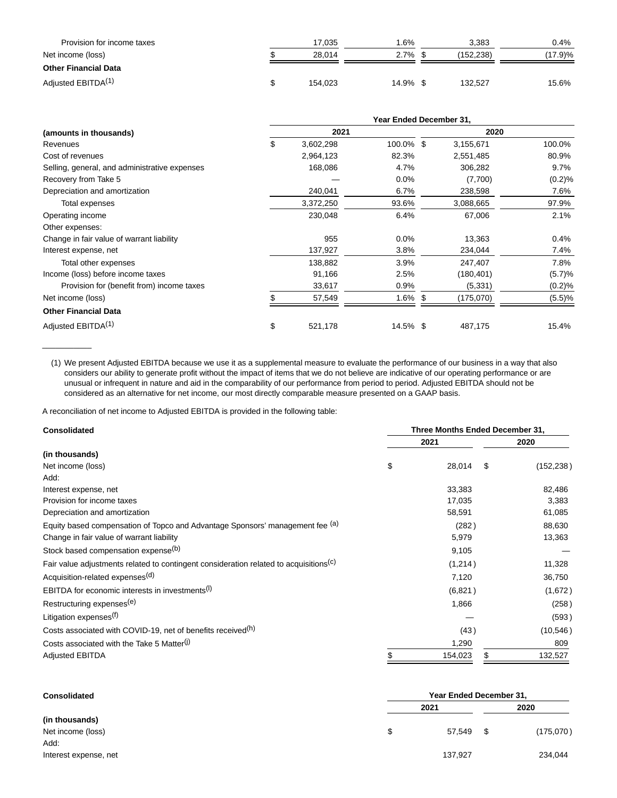| Provision for income taxes     | 17.035  | $.6\%$   | 3.383     | 0.4%       |
|--------------------------------|---------|----------|-----------|------------|
| Net income (loss)              | 28.014  | 2.7%     | (152.238) | $(17.9)\%$ |
| <b>Other Financial Data</b>    |         |          |           |            |
| Adjusted EBITDA <sup>(1)</sup> | 154.023 | 14.9% \$ | 132.527   | 15.6%      |

|                                               | Year Ended December 31, |           |            |      |            |         |
|-----------------------------------------------|-------------------------|-----------|------------|------|------------|---------|
| (amounts in thousands)                        | 2021                    |           |            | 2020 |            |         |
| Revenues                                      | \$                      | 3,602,298 | 100.0% \$  |      | 3,155,671  | 100.0%  |
| Cost of revenues                              |                         | 2,964,123 | 82.3%      |      | 2,551,485  | 80.9%   |
| Selling, general, and administrative expenses |                         | 168,086   | 4.7%       |      | 306,282    | 9.7%    |
| Recovery from Take 5                          |                         |           | 0.0%       |      | (7,700)    | (0.2)%  |
| Depreciation and amortization                 |                         | 240,041   | 6.7%       |      | 238,598    | 7.6%    |
| Total expenses                                |                         | 3,372,250 | 93.6%      |      | 3,088,665  | 97.9%   |
| Operating income                              |                         | 230,048   | 6.4%       |      | 67,006     | 2.1%    |
| Other expenses:                               |                         |           |            |      |            |         |
| Change in fair value of warrant liability     |                         | 955       | $0.0\%$    |      | 13,363     | $0.4\%$ |
| Interest expense, net                         |                         | 137,927   | 3.8%       |      | 234,044    | 7.4%    |
| Total other expenses                          |                         | 138,882   | 3.9%       |      | 247,407    | 7.8%    |
| Income (loss) before income taxes             |                         | 91,166    | 2.5%       |      | (180, 401) | (5.7)%  |
| Provision for (benefit from) income taxes     |                         | 33,617    | 0.9%       |      | (5, 331)   | (0.2)%  |
| Net income (loss)                             |                         | 57,549    | $1.6\%$ \$ |      | (175,070)  | (5.5)%  |
| <b>Other Financial Data</b>                   |                         |           |            |      |            |         |
| Adjusted EBITDA <sup>(1)</sup>                | \$                      | 521,178   | 14.5% \$   |      | 487,175    | 15.4%   |

(1) We present Adjusted EBITDA because we use it as a supplemental measure to evaluate the performance of our business in a way that also considers our ability to generate profit without the impact of items that we do not believe are indicative of our operating performance or are unusual or infrequent in nature and aid in the comparability of our performance from period to period. Adjusted EBITDA should not be considered as an alternative for net income, our most directly comparable measure presented on a GAAP basis.

A reconciliation of net income to Adjusted EBITDA is provided in the following table:

\_\_\_\_\_\_\_\_\_\_\_

| <b>Consolidated</b>                                                                               | Three Months Ended December 31, |         |      |            |  |
|---------------------------------------------------------------------------------------------------|---------------------------------|---------|------|------------|--|
|                                                                                                   |                                 | 2021    | 2020 |            |  |
| (in thousands)                                                                                    |                                 |         |      |            |  |
| Net income (loss)                                                                                 | \$                              | 28,014  | \$   | (152, 238) |  |
| Add:                                                                                              |                                 |         |      |            |  |
| Interest expense, net                                                                             |                                 | 33,383  |      | 82,486     |  |
| Provision for income taxes                                                                        |                                 | 17,035  |      | 3,383      |  |
| Depreciation and amortization                                                                     |                                 | 58,591  |      | 61,085     |  |
| Equity based compensation of Topco and Advantage Sponsors' management fee (a)                     |                                 | (282)   |      | 88,630     |  |
| Change in fair value of warrant liability                                                         |                                 | 5,979   |      | 13,363     |  |
| Stock based compensation expense <sup>(b)</sup>                                                   |                                 | 9,105   |      |            |  |
| Fair value adjustments related to contingent consideration related to acquisitions <sup>(C)</sup> |                                 | (1,214) |      | 11,328     |  |
| Acquisition-related expenses <sup>(d)</sup>                                                       |                                 | 7,120   |      | 36,750     |  |
| EBITDA for economic interests in investments <sup>(I)</sup>                                       |                                 | (6,821) |      | (1,672)    |  |
| Restructuring expenses <sup>(e)</sup>                                                             |                                 | 1,866   |      | (258)      |  |
| Litigation expenses <sup>(f)</sup>                                                                |                                 |         |      | (593)      |  |
| Costs associated with COVID-19, net of benefits received <sup>(h)</sup>                           |                                 | (43)    |      | (10, 546)  |  |
| Costs associated with the Take 5 Matter <sup>(J)</sup>                                            |                                 | 1,290   |      | 809        |  |
| <b>Adjusted EBITDA</b>                                                                            |                                 | 154,023 |      | 132,527    |  |

| <b>Consolidated</b>   | Year Ended December 31, |         |    |           |  |
|-----------------------|-------------------------|---------|----|-----------|--|
|                       | 2021                    |         |    | 2020      |  |
| (in thousands)        |                         |         |    |           |  |
| Net income (loss)     |                         | 57.549  | \$ | (175,070) |  |
| Add:                  |                         |         |    |           |  |
| Interest expense, net |                         | 137,927 |    | 234,044   |  |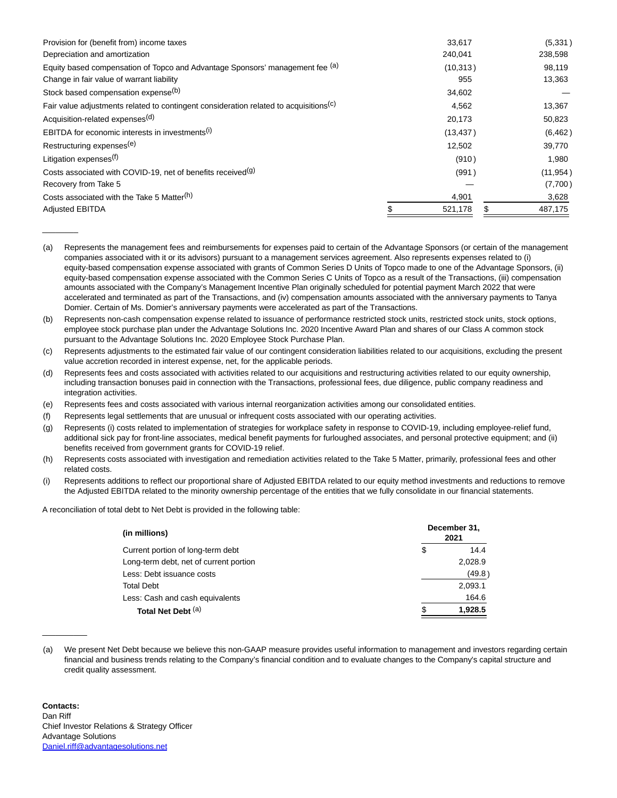| Provision for (benefit from) income taxes                                                         | 33,617    | (5,331)   |
|---------------------------------------------------------------------------------------------------|-----------|-----------|
| Depreciation and amortization                                                                     | 240,041   | 238,598   |
| Equity based compensation of Topco and Advantage Sponsors' management fee (a)                     | (10, 313) | 98,119    |
| Change in fair value of warrant liability                                                         | 955       | 13,363    |
| Stock based compensation expense <sup>(b)</sup>                                                   | 34,602    |           |
| Fair value adjustments related to contingent consideration related to acquisitions <sup>(c)</sup> | 4,562     | 13,367    |
| Acquisition-related expenses <sup>(d)</sup>                                                       | 20,173    | 50,823    |
| EBITDA for economic interests in investments <sup>(i)</sup>                                       | (13, 437) | (6, 462)  |
| Restructuring expenses <sup>(e)</sup>                                                             | 12,502    | 39,770    |
| Litigation expenses <sup>(f)</sup>                                                                | (910)     | 1,980     |
| Costs associated with COVID-19, net of benefits received <sup>(g)</sup>                           | (991)     | (11, 954) |
| Recovery from Take 5                                                                              |           | (7,700)   |
| Costs associated with the Take 5 Matter <sup>(h)</sup>                                            | 4,901     | 3,628     |
| <b>Adjusted EBITDA</b>                                                                            | 521,178   | 487,175   |

<sup>(</sup>a) Represents the management fees and reimbursements for expenses paid to certain of the Advantage Sponsors (or certain of the management companies associated with it or its advisors) pursuant to a management services agreement. Also represents expenses related to (i) equity-based compensation expense associated with grants of Common Series D Units of Topco made to one of the Advantage Sponsors, (ii) equity-based compensation expense associated with the Common Series C Units of Topco as a result of the Transactions, (iii) compensation amounts associated with the Company's Management Incentive Plan originally scheduled for potential payment March 2022 that were accelerated and terminated as part of the Transactions, and (iv) compensation amounts associated with the anniversary payments to Tanya Domier. Certain of Ms. Domier's anniversary payments were accelerated as part of the Transactions.

- (b) Represents non-cash compensation expense related to issuance of performance restricted stock units, restricted stock units, stock options, employee stock purchase plan under the Advantage Solutions Inc. 2020 Incentive Award Plan and shares of our Class A common stock pursuant to the Advantage Solutions Inc. 2020 Employee Stock Purchase Plan.
- (c) Represents adjustments to the estimated fair value of our contingent consideration liabilities related to our acquisitions, excluding the present value accretion recorded in interest expense, net, for the applicable periods.
- (d) Represents fees and costs associated with activities related to our acquisitions and restructuring activities related to our equity ownership, including transaction bonuses paid in connection with the Transactions, professional fees, due diligence, public company readiness and integration activities.
- (e) Represents fees and costs associated with various internal reorganization activities among our consolidated entities.
- (f) Represents legal settlements that are unusual or infrequent costs associated with our operating activities.
- (g) Represents (i) costs related to implementation of strategies for workplace safety in response to COVID-19, including employee-relief fund, additional sick pay for front-line associates, medical benefit payments for furloughed associates, and personal protective equipment; and (ii) benefits received from government grants for COVID-19 relief.
- (h) Represents costs associated with investigation and remediation activities related to the Take 5 Matter, primarily, professional fees and other related costs.
- (i) Represents additions to reflect our proportional share of Adjusted EBITDA related to our equity method investments and reductions to remove the Adjusted EBITDA related to the minority ownership percentage of the entities that we fully consolidate in our financial statements.

A reconciliation of total debt to Net Debt is provided in the following table:

| (in millions)                          | December 31,<br>2021 |         |  |
|----------------------------------------|----------------------|---------|--|
| Current portion of long-term debt      | \$                   | 14.4    |  |
| Long-term debt, net of current portion |                      | 2,028.9 |  |
| Less: Debt issuance costs              |                      | (49.8)  |  |
| <b>Total Debt</b>                      |                      | 2,093.1 |  |
| Less: Cash and cash equivalents        |                      | 164.6   |  |
| Total Net Debt (a)                     |                      | 1.928.5 |  |

<sup>(</sup>a) We present Net Debt because we believe this non-GAAP measure provides useful information to management and investors regarding certain financial and business trends relating to the Company's financial condition and to evaluate changes to the Company's capital structure and credit quality assessment.

 $\overline{\phantom{a}}$ 

 $\overline{\phantom{a}}$